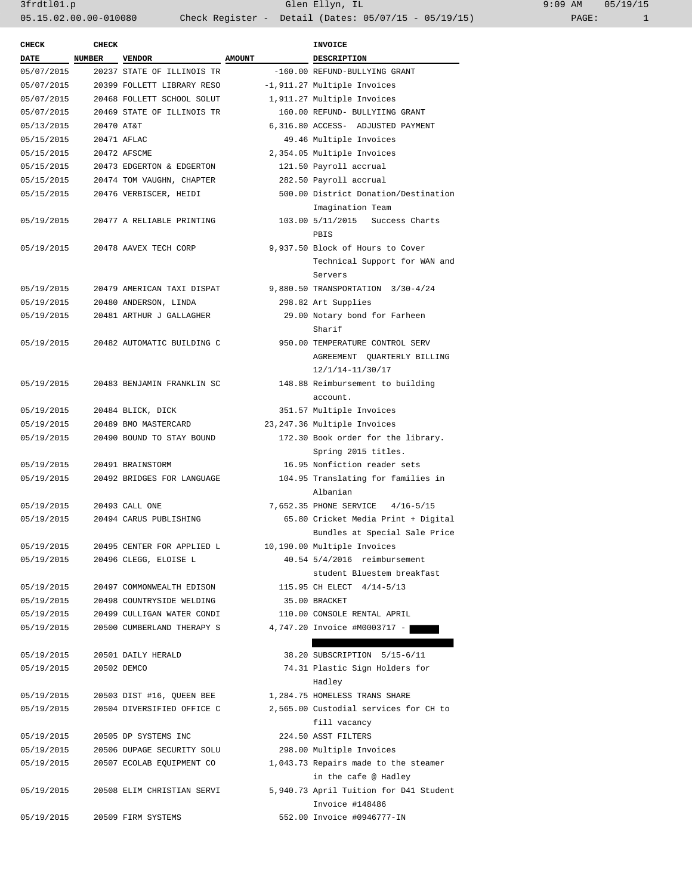| <b>CHECK</b>             | <b>CHECK</b> |                            |               | <b>INVOICE</b>                               |
|--------------------------|--------------|----------------------------|---------------|----------------------------------------------|
| DATE                     | NUMBER       | <b>VENDOR</b>              | <b>AMOUNT</b> | DESCRIPTION                                  |
| 05/07/2015               |              | 20237 STATE OF ILLINOIS TR |               | -160.00 REFUND-BULLYING GRANT                |
| 05/07/2015               |              | 20399 FOLLETT LIBRARY RESO |               | -1,911.27 Multiple Invoices                  |
| 05/07/2015               |              | 20468 FOLLETT SCHOOL SOLUT |               | 1,911.27 Multiple Invoices                   |
| 05/07/2015               |              | 20469 STATE OF ILLINOIS TR |               | 160.00 REFUND- BULLYIING GRANT               |
| 05/13/2015               | 20470 AT&T   |                            |               | 6,316.80 ACCESS- ADJUSTED PAYMENT            |
| 05/15/2015               |              | 20471 AFLAC                |               | 49.46 Multiple Invoices                      |
| 05/15/2015               |              | 20472 AFSCME               |               | 2,354.05 Multiple Invoices                   |
| 05/15/2015               |              | 20473 EDGERTON & EDGERTON  |               | 121.50 Payroll accrual                       |
| 05/15/2015               |              | 20474 TOM VAUGHN, CHAPTER  |               | 282.50 Payroll accrual                       |
| 05/15/2015               |              | 20476 VERBISCER, HEIDI     |               | 500.00 District Donation/Destination         |
|                          |              |                            |               | Imagination Team                             |
| 05/19/2015               |              | 20477 A RELIABLE PRINTING  |               | 103.00 5/11/2015 Success Charts              |
| 05/19/2015               |              | 20478 AAVEX TECH CORP      |               | PBIS<br>9,937.50 Block of Hours to Cover     |
|                          |              |                            |               |                                              |
|                          |              |                            |               | Technical Support for WAN and                |
|                          |              | 20479 AMERICAN TAXI DISPAT |               | Servers<br>9,880.50 TRANSPORTATION 3/30-4/24 |
| 05/19/2015<br>05/19/2015 |              |                            |               | 298.82 Art Supplies                          |
|                          |              | 20480 ANDERSON, LINDA      |               |                                              |
| 05/19/2015               |              | 20481 ARTHUR J GALLAGHER   |               | 29.00 Notary bond for Farheen<br>Sharif      |
| 05/19/2015               |              | 20482 AUTOMATIC BUILDING C |               | 950.00 TEMPERATURE CONTROL SERV              |
|                          |              |                            |               | AGREEMENT QUARTERLY BILLING                  |
|                          |              |                            |               | 12/1/14-11/30/17                             |
| 05/19/2015               |              | 20483 BENJAMIN FRANKLIN SC |               | 148.88 Reimbursement to building             |
|                          |              |                            |               | account.                                     |
| 05/19/2015               |              | 20484 BLICK, DICK          |               | 351.57 Multiple Invoices                     |
| 05/19/2015               |              | 20489 BMO MASTERCARD       |               | 23, 247.36 Multiple Invoices                 |
| 05/19/2015               |              | 20490 BOUND TO STAY BOUND  |               | 172.30 Book order for the library.           |
|                          |              |                            |               | Spring 2015 titles.                          |
| 05/19/2015               |              | 20491 BRAINSTORM           |               | 16.95 Nonfiction reader sets                 |
| 05/19/2015               |              | 20492 BRIDGES FOR LANGUAGE |               | 104.95 Translating for families in           |
|                          |              |                            |               | Albanian                                     |
| 05/19/2015               |              | 20493 CALL ONE             |               | 7,652.35 PHONE SERVICE 4/16-5/15             |
| 05/19/2015               |              | 20494 CARUS PUBLISHING     |               | 65.80 Cricket Media Print + Digital          |
|                          |              |                            |               | Bundles at Special Sale Price                |
| 05/19/2015               |              | 20495 CENTER FOR APPLIED L |               | 10,190.00 Multiple Invoices                  |
| 05/19/2015               |              | 20496 CLEGG, ELOISE L      |               | 40.54 5/4/2016 reimbursement                 |
|                          |              |                            |               | student Bluestem breakfast                   |
| 05/19/2015               |              | 20497 COMMONWEALTH EDISON  |               | 115.95 CH ELECT 4/14-5/13                    |
| 05/19/2015               |              | 20498 COUNTRYSIDE WELDING  |               | 35.00 BRACKET                                |
| 05/19/2015               |              | 20499 CULLIGAN WATER CONDI |               | 110.00 CONSOLE RENTAL APRIL                  |
| 05/19/2015               |              | 20500 CUMBERLAND THERAPY S |               | 4,747.20 Invoice #M0003717 -                 |
|                          |              |                            |               |                                              |
| 05/19/2015               |              | 20501 DAILY HERALD         |               | 38.20 SUBSCRIPTION 5/15-6/11                 |
| 05/19/2015               |              | 20502 DEMCO                |               | 74.31 Plastic Sign Holders for<br>Hadley     |
| 05/19/2015               |              | 20503 DIST #16, QUEEN BEE  |               | 1,284.75 HOMELESS TRANS SHARE                |
| 05/19/2015               |              | 20504 DIVERSIFIED OFFICE C |               | 2,565.00 Custodial services for CH to        |
|                          |              |                            |               | fill vacancy                                 |
| 05/19/2015               |              | 20505 DP SYSTEMS INC       |               | 224.50 ASST FILTERS                          |
| 05/19/2015               |              | 20506 DUPAGE SECURITY SOLU |               | 298.00 Multiple Invoices                     |
| 05/19/2015               |              | 20507 ECOLAB EQUIPMENT CO  |               | 1,043.73 Repairs made to the steamer         |
|                          |              |                            |               | in the cafe @ Hadley                         |
| 05/19/2015               |              | 20508 ELIM CHRISTIAN SERVI |               | 5,940.73 April Tuition for D41 Student       |
|                          |              |                            |               | Invoice #148486                              |
| 05/19/2015               |              | 20509 FIRM SYSTEMS         |               | 552.00 Invoice #0946777-IN                   |
|                          |              |                            |               |                                              |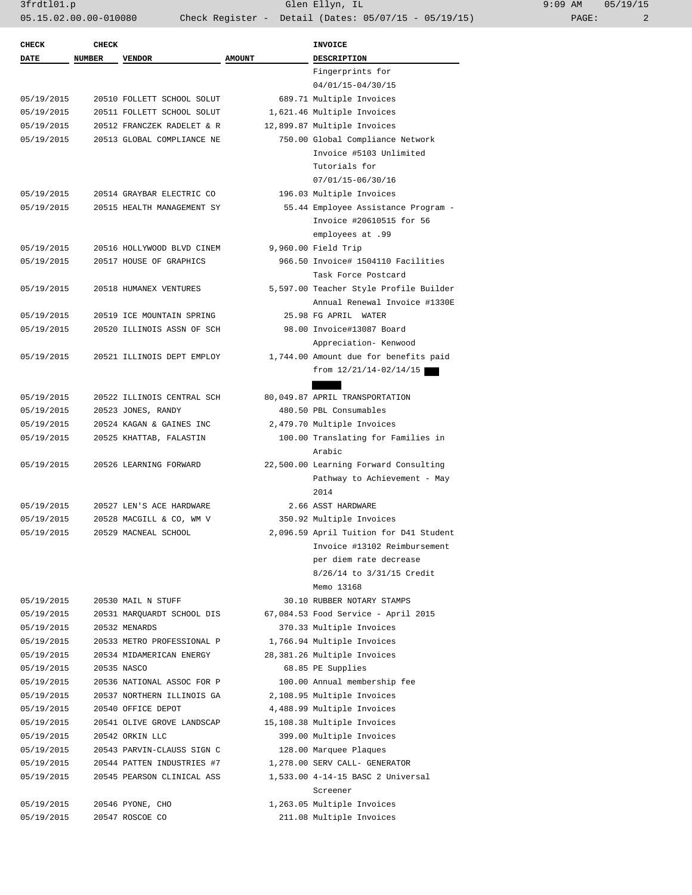| <b>CHECK</b> | <b>CHECK</b>  |                            |               | <b>INVOICE</b>                         |
|--------------|---------------|----------------------------|---------------|----------------------------------------|
| <b>DATE</b>  | <b>NUMBER</b> | <b>VENDOR</b>              | <b>AMOUNT</b> | <b>DESCRIPTION</b>                     |
|              |               |                            |               | Fingerprints for                       |
|              |               |                            |               | 04/01/15-04/30/15                      |
| 05/19/2015   |               | 20510 FOLLETT SCHOOL SOLUT |               | 689.71 Multiple Invoices               |
| 05/19/2015   |               | 20511 FOLLETT SCHOOL SOLUT |               | 1,621.46 Multiple Invoices             |
| 05/19/2015   |               | 20512 FRANCZEK RADELET & R |               | 12,899.87 Multiple Invoices            |
| 05/19/2015   |               | 20513 GLOBAL COMPLIANCE NE |               | 750.00 Global Compliance Network       |
|              |               |                            |               |                                        |
|              |               |                            |               | Invoice #5103 Unlimited                |
|              |               |                            |               | Tutorials for                          |
|              |               |                            |               | 07/01/15-06/30/16                      |
| 05/19/2015   |               | 20514 GRAYBAR ELECTRIC CO  |               | 196.03 Multiple Invoices               |
| 05/19/2015   |               | 20515 HEALTH MANAGEMENT SY |               | 55.44 Employee Assistance Program -    |
|              |               |                            |               | Invoice #20610515 for 56               |
|              |               |                            |               | employees at .99                       |
| 05/19/2015   |               | 20516 HOLLYWOOD BLVD CINEM |               | 9,960.00 Field Trip                    |
| 05/19/2015   |               | 20517 HOUSE OF GRAPHICS    |               | 966.50 Invoice# 1504110 Facilities     |
|              |               |                            |               | Task Force Postcard                    |
| 05/19/2015   |               | 20518 HUMANEX VENTURES     |               | 5,597.00 Teacher Style Profile Builder |
|              |               |                            |               | Annual Renewal Invoice #1330E          |
| 05/19/2015   |               | 20519 ICE MOUNTAIN SPRING  |               | 25.98 FG APRIL WATER                   |
| 05/19/2015   |               | 20520 ILLINOIS ASSN OF SCH |               | 98.00 Invoice#13087 Board              |
|              |               |                            |               |                                        |
|              |               |                            |               | Appreciation- Kenwood                  |
| 05/19/2015   |               | 20521 ILLINOIS DEPT EMPLOY |               | 1,744.00 Amount due for benefits paid  |
|              |               |                            |               | from $12/21/14-02/14/15$               |
|              |               |                            |               |                                        |
| 05/19/2015   |               | 20522 ILLINOIS CENTRAL SCH |               | 80,049.87 APRIL TRANSPORTATION         |
| 05/19/2015   |               | 20523 JONES, RANDY         |               | 480.50 PBL Consumables                 |
| 05/19/2015   |               | 20524 KAGAN & GAINES INC   |               | 2,479.70 Multiple Invoices             |
| 05/19/2015   |               | 20525 KHATTAB, FALASTIN    |               | 100.00 Translating for Families in     |
|              |               |                            |               | Arabic                                 |
| 05/19/2015   |               | 20526 LEARNING FORWARD     |               | 22,500.00 Learning Forward Consulting  |
|              |               |                            |               | Pathway to Achievement - May           |
|              |               |                            |               | 2014                                   |
| 05/19/2015   |               | 20527 LEN'S ACE HARDWARE   |               | 2.66 ASST HARDWARE                     |
| 05/19/2015   |               | 20528 MACGILL & CO, WM V   |               | 350.92 Multiple Invoices               |
| 05/19/2015   |               | 20529 MACNEAL SCHOOL       |               | 2,096.59 April Tuition for D41 Student |
|              |               |                            |               | Invoice #13102 Reimbursement           |
|              |               |                            |               | per diem rate decrease                 |
|              |               |                            |               | 8/26/14 to 3/31/15 Credit              |
|              |               |                            |               | Memo 13168                             |
|              |               |                            |               |                                        |
| 05/19/2015   |               | 20530 MAIL N STUFF         |               | 30.10 RUBBER NOTARY STAMPS             |
| 05/19/2015   |               | 20531 MARQUARDT SCHOOL DIS |               | 67,084.53 Food Service - April 2015    |
| 05/19/2015   |               | 20532 MENARDS              |               | 370.33 Multiple Invoices               |
| 05/19/2015   |               | 20533 METRO PROFESSIONAL P |               | 1,766.94 Multiple Invoices             |
| 05/19/2015   |               | 20534 MIDAMERICAN ENERGY   |               | 28,381.26 Multiple Invoices            |
| 05/19/2015   |               | 20535 NASCO                |               | 68.85 PE Supplies                      |
| 05/19/2015   |               | 20536 NATIONAL ASSOC FOR P |               | 100.00 Annual membership fee           |
| 05/19/2015   |               | 20537 NORTHERN ILLINOIS GA |               | 2,108.95 Multiple Invoices             |
| 05/19/2015   |               | 20540 OFFICE DEPOT         |               | 4,488.99 Multiple Invoices             |
| 05/19/2015   |               | 20541 OLIVE GROVE LANDSCAP |               | 15,108.38 Multiple Invoices            |
| 05/19/2015   |               | 20542 ORKIN LLC            |               | 399.00 Multiple Invoices               |
| 05/19/2015   |               | 20543 PARVIN-CLAUSS SIGN C |               | 128.00 Marquee Plaques                 |
| 05/19/2015   |               | 20544 PATTEN INDUSTRIES #7 |               | 1,278.00 SERV CALL- GENERATOR          |
| 05/19/2015   |               | 20545 PEARSON CLINICAL ASS |               | 1,533.00 4-14-15 BASC 2 Universal      |
|              |               |                            |               | Screener                               |
|              |               |                            |               | 1,263.05 Multiple Invoices             |
| 05/19/2015   |               | 20546 PYONE, CHO           |               |                                        |
| 05/19/2015   |               | 20547 ROSCOE CO            |               | 211.08 Multiple Invoices               |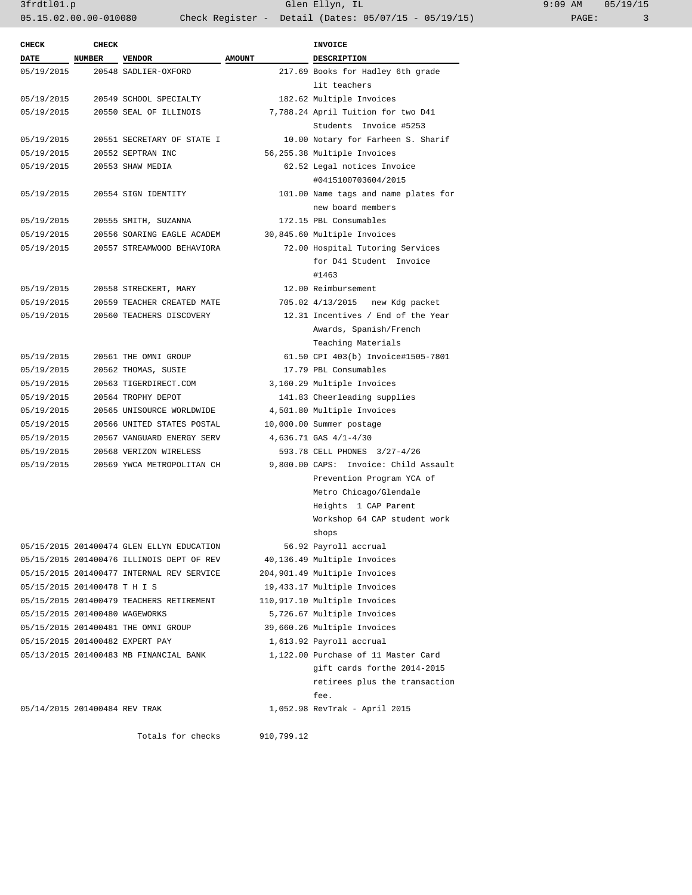| ):09 AM |       | 05/19/15 |
|---------|-------|----------|
|         | PAGE: |          |

| <b>CHECK</b>                   | <b>CHECK</b>  |                                           |               | INVOICE                               |
|--------------------------------|---------------|-------------------------------------------|---------------|---------------------------------------|
| <b>DATE</b>                    | <b>NUMBER</b> | <b>VENDOR</b>                             | <b>AMOUNT</b> | <b>DESCRIPTION</b>                    |
| 05/19/2015                     |               | 20548 SADLIER-OXFORD                      |               | 217.69 Books for Hadley 6th grade     |
|                                |               |                                           |               | lit teachers                          |
| 05/19/2015                     |               | 20549 SCHOOL SPECIALTY                    |               | 182.62 Multiple Invoices              |
| 05/19/2015                     |               | 20550 SEAL OF ILLINOIS                    |               | 7,788.24 April Tuition for two D41    |
|                                |               |                                           |               | Students Invoice #5253                |
| 05/19/2015                     |               | 20551 SECRETARY OF STATE I                |               | 10.00 Notary for Farheen S. Sharif    |
| 05/19/2015                     |               | 20552 SEPTRAN INC                         |               | 56,255.38 Multiple Invoices           |
| 05/19/2015                     |               | 20553 SHAW MEDIA                          |               | 62.52 Legal notices Invoice           |
|                                |               |                                           |               | #0415100703604/2015                   |
| 05/19/2015                     |               | 20554 SIGN IDENTITY                       |               | 101.00 Name tags and name plates for  |
|                                |               |                                           |               | new board members                     |
| 05/19/2015                     |               | 20555 SMITH, SUZANNA                      |               | 172.15 PBL Consumables                |
| 05/19/2015                     |               | 20556 SOARING EAGLE ACADEM                |               | 30,845.60 Multiple Invoices           |
| 05/19/2015                     |               | 20557 STREAMWOOD BEHAVIORA                |               | 72.00 Hospital Tutoring Services      |
|                                |               |                                           |               | for D41 Student Invoice               |
|                                |               |                                           |               | #1463                                 |
| 05/19/2015                     |               | 20558 STRECKERT, MARY                     |               | 12.00 Reimbursement                   |
| 05/19/2015                     |               | 20559 TEACHER CREATED MATE                |               | 705.02 4/13/2015 new Kdg packet       |
| 05/19/2015                     |               | 20560 TEACHERS DISCOVERY                  |               | 12.31 Incentives / End of the Year    |
|                                |               |                                           |               | Awards, Spanish/French                |
|                                |               |                                           |               | Teaching Materials                    |
| 05/19/2015                     |               | 20561 THE OMNI GROUP                      |               | 61.50 CPI 403(b) Invoice#1505-7801    |
| 05/19/2015                     |               | 20562 THOMAS, SUSIE                       |               | 17.79 PBL Consumables                 |
| 05/19/2015                     |               | 20563 TIGERDIRECT.COM                     |               | 3,160.29 Multiple Invoices            |
| 05/19/2015                     |               | 20564 TROPHY DEPOT                        |               | 141.83 Cheerleading supplies          |
| 05/19/2015                     |               | 20565 UNISOURCE WORLDWIDE                 |               | 4,501.80 Multiple Invoices            |
| 05/19/2015                     |               | 20566 UNITED STATES POSTAL                |               | 10,000.00 Summer postage              |
| 05/19/2015                     |               | 20567 VANGUARD ENERGY SERV                |               | 4,636.71 GAS 4/1-4/30                 |
| 05/19/2015                     |               | 20568 VERIZON WIRELESS                    |               | 593.78 CELL PHONES 3/27-4/26          |
| 05/19/2015                     |               | 20569 YWCA METROPOLITAN CH                |               | 9,800.00 CAPS: Invoice: Child Assault |
|                                |               |                                           |               | Prevention Program YCA of             |
|                                |               |                                           |               | Metro Chicago/Glendale                |
|                                |               |                                           |               | Heights 1 CAP Parent                  |
|                                |               |                                           |               | Workshop 64 CAP student work          |
|                                |               |                                           |               | shops                                 |
|                                |               | 05/15/2015 201400474 GLEN ELLYN EDUCATION |               | 56.92 Payroll accrual                 |
|                                |               | 05/15/2015 201400476 ILLINOIS DEPT OF REV |               | 40,136.49 Multiple Invoices           |
|                                |               | 05/15/2015 201400477 INTERNAL REV SERVICE |               | 204,901.49 Multiple Invoices          |
| 05/15/2015 201400478 T H I S   |               |                                           |               | 19,433.17 Multiple Invoices           |
|                                |               | 05/15/2015 201400479 TEACHERS RETIREMENT  |               | 110,917.10 Multiple Invoices          |
| 05/15/2015 201400480 WAGEWORKS |               |                                           |               | 5,726.67 Multiple Invoices            |
|                                |               | 05/15/2015 201400481 THE OMNI GROUP       |               | 39,660.26 Multiple Invoices           |
|                                |               | 05/15/2015 201400482 EXPERT PAY           |               | 1,613.92 Payroll accrual              |
|                                |               | 05/13/2015 201400483 MB FINANCIAL BANK    |               | 1,122.00 Purchase of 11 Master Card   |
|                                |               |                                           |               | gift cards forthe 2014-2015           |
|                                |               |                                           |               | retirees plus the transaction         |
|                                |               |                                           |               | fee.                                  |
|                                |               |                                           |               |                                       |
| 05/14/2015 201400484 REV TRAK  |               |                                           |               | 1,052.98 RevTrak - April 2015         |
|                                |               |                                           | 910,799.12    |                                       |
|                                |               | Totals for checks                         |               |                                       |